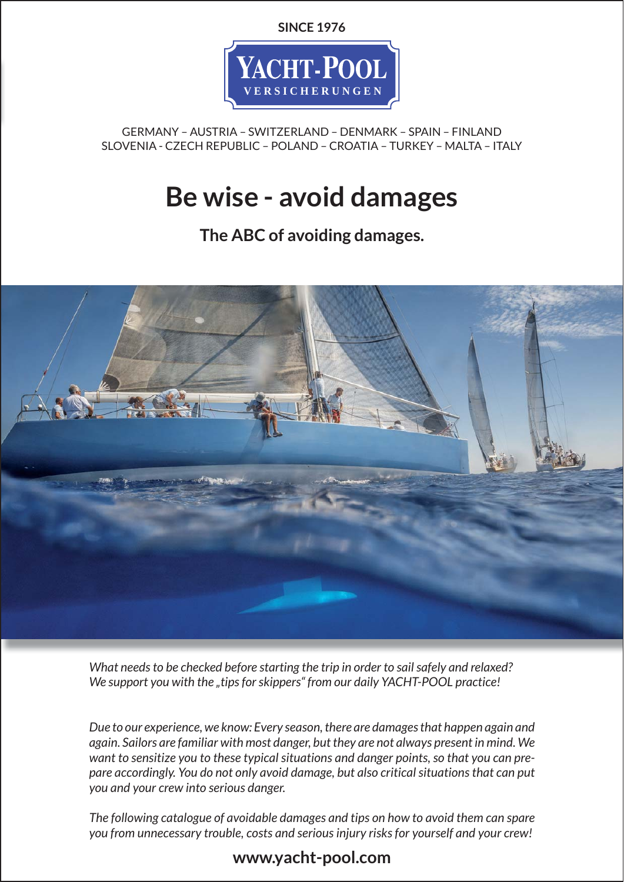**SINCE 1976**



GERMANY – AUSTRIA – SWITZERLAND – DENMARK – SPAIN – FINLAND SLOVENIA - CZECH REPUBLIC – POLAND – CROATIA – TURKEY – MALTA – ITALY

# **Be wise - avoid damages**

**The ABC of avoiding damages.**



*What needs to be checked before starting the trip in order to sail safely and relaxed?* We support you with the "tips for skippers" from our daily YACHT-POOL practice!

*Due to our experience, we know: Every season, there are damages that happen again and again. Sailors are familiar with most danger, but they are not always present in mind. We want to sensitize you to these typical situations and danger points, so that you can prepare accordingly. You do not only avoid damage, but also critical situations that can put you and your crew into serious danger.*

*The following catalogue of avoidable damages and tips on how to avoid them can spare you from unnecessary trouble, costs and serious injury risks for yourself and your crew!*

# **www.yacht-pool.com**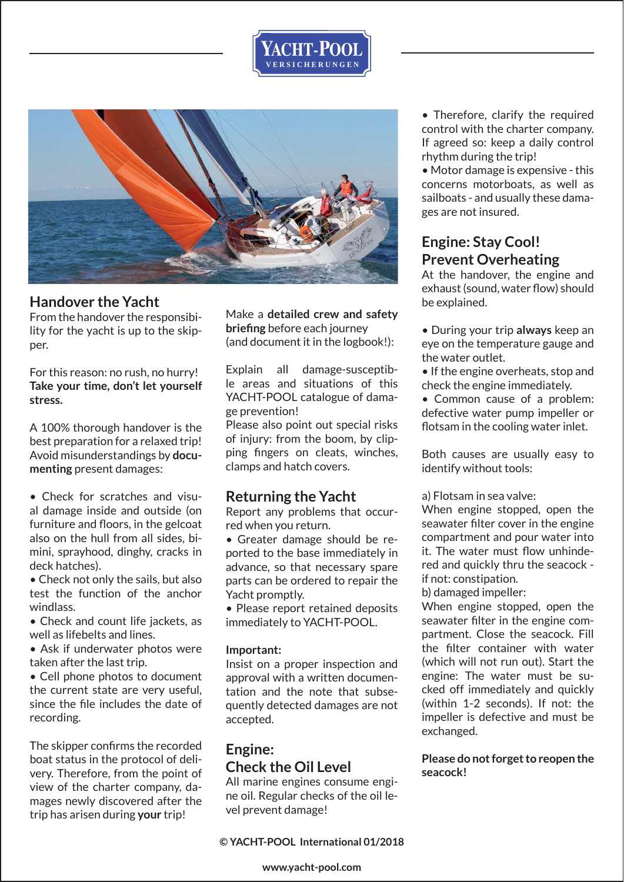



### **Handover the Yacht**

From the handover the responsibility for the yacht is up to the skipper.

For this reason: no rush, no hurry! **Take your time, don't let yourself stress.**

A 100% thorough handover is the best preparation for a relaxed trip! Avoid misunderstandings by **documenting** present damages:

• Check for scratches and visual damage inside and outside (on furniture and floors, in the gelcoat also on the hull from all sides, bimini, sprayhood, dinghy, cracks in deck hatches).

• Check not only the sails, but also test the function of the anchor windlass.

• Check and count life jackets, as well as lifebelts and lines.

• Ask if underwater photos were taken after the last trip.

• Cell phone photos to document the current state are very useful, since the file includes the date of recording.

The skipper confirms the recorded boat status in the protocol of delivery. Therefore, from the point of view of the charter company, damages newly discovered after the trip has arisen during **your** trip!

Make a **detailed crew and safety briefing** before each journey (and document it in the logbook!):

Explain all damage-susceptible areas and situations of this YACHT-POOL catalogue of damage prevention!

Please also point out special risks of injury: from the boom, by clipping fingers on cleats, winches, clamps and hatch covers.

# **Returning the Yacht**

Report any problems that occurred when you return.

• Greater damage should be reported to the base immediately in advance, so that necessary spare parts can be ordered to repair the Yacht promptly.

• Please report retained deposits immediately to YACHT-POOL.

#### **Important:**

Insist on a proper inspection and approval with a written documentation and the note that subsequently detected damages are not accepted.

# **Engine: Check the Oil Level**

All marine engines consume engine oil. Regular checks of the oil level prevent damage!

**© YACHT-POOL International 01/2018** 

• Therefore, clarify the required control with the charter company. If agreed so: keep a daily control rhythm during the trip!

• Motor damage is expensive - this concerns motorboats, as well as sailboats - and usually these damages are not insured.

# **Engine: Stay Cool! Prevent Overheating**

At the handover, the engine and exhaust (sound, water flow) should be explained.

• During your trip **always** keep an eye on the temperature gauge and the water outlet.

• If the engine overheats, stop and check the engine immediately.

• Common cause of a problem: defective water pump impeller or flotsam in the cooling water inlet.

Both causes are usually easy to identify without tools:

#### a) Flotsam in sea valve:

When engine stopped, open the seawater filter cover in the engine compartment and pour water into it. The water must flow unhindered and quickly thru the seacock if not: constipation.

b) damaged impeller:

When engine stopped, open the seawater filter in the engine compartment. Close the seacock. Fill the filter container with water (which will not run out). Start the engine: The water must be sucked off immediately and quickly (within 1-2 seconds). If not: the impeller is defective and must be exchanged.

**Please do not forget to reopen the seacock!**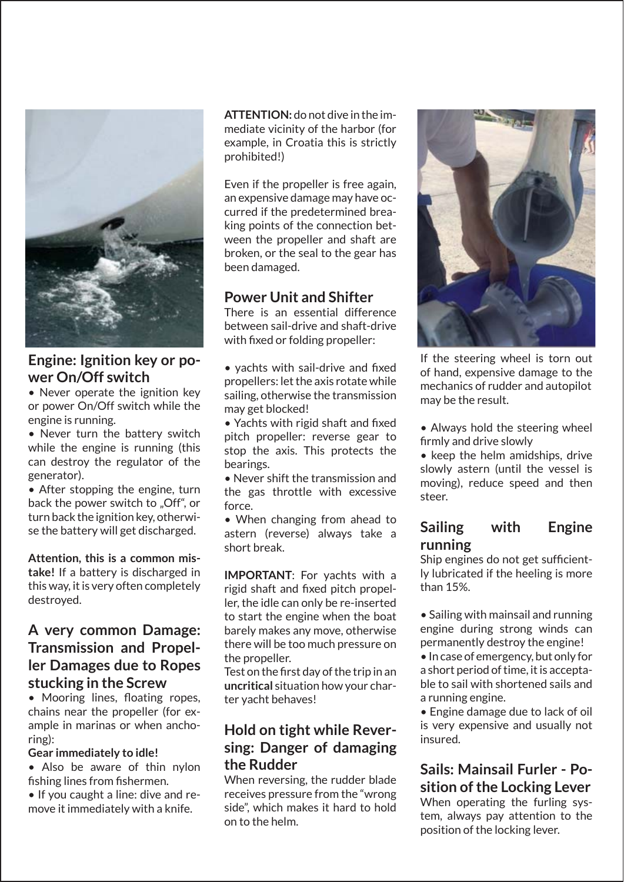

# **Engine: Ignition key or power On/Off switch**

• Never operate the ignition key or power On/Off switch while the engine is running.

• Never turn the battery switch while the engine is running (this can destroy the regulator of the generator).

• After stopping the engine, turn back the power switch to "Off", or turn back the ignition key, otherwise the battery will get discharged.

**Attention, this is a common mistake!** If a battery is discharged in this way, it is very often completely destroyed.

# **A very common Damage: Transmission and Propeller Damages due to Ropes stucking in the Screw**

• Mooring lines, floating ropes, chains near the propeller (for example in marinas or when anchoring):

#### **Gear immediately to idle!**

• Also be aware of thin nylon fishing lines from fishermen.

• If you caught a line: dive and remove it immediately with a knife.

**ATTENTION:** do not dive in the immediate vicinity of the harbor (for example, in Croatia this is strictly prohibited!)

Even if the propeller is free again, an expensive damage may have occurred if the predetermined breaking points of the connection between the propeller and shaft are broken, or the seal to the gear has been damaged.

### **Power Unit and Shifter**

There is an essential difference between sail-drive and shaft-drive with fixed or folding propeller:

 $\bullet$  vachts with sail-drive and fixed propellers: let the axis rotate while sailing, otherwise the transmission may get blocked!

• Yachts with rigid shaft and fixed pitch propeller: reverse gear to stop the axis. This protects the bearings.

• Never shift the transmission and the gas throttle with excessive force.

• When changing from ahead to astern (reverse) always take a short break.

**IMPORTANT**: For yachts with a rigid shaft and fixed pitch propeller, the idle can only be re-inserted to start the engine when the boat barely makes any move, otherwise there will be too much pressure on the propeller.

Test on the first day of the trip in an **uncritical** situation how your charter yacht behaves!

# **Hold on tight while Reversing: Danger of damaging the Rudder**

When reversing, the rudder blade receives pressure from the "wrong side", which makes it hard to hold on to the helm.



If the steering wheel is torn out of hand, expensive damage to the mechanics of rudder and autopilot may be the result.

• Always hold the steering wheel firmly and drive slowly

• keep the helm amidships, drive slowly astern (until the vessel is moving), reduce speed and then steer.

### **Sailing with Engine running**

Ship engines do not get sufficiently lubricated if the heeling is more than 15%.

• Sailing with mainsail and running engine during strong winds can permanently destroy the engine!

• In case of emergency, but only for a short period of time, it is acceptable to sail with shortened sails and a running engine.

• Engine damage due to lack of oil is very expensive and usually not insured.

# **Sails: Mainsail Furler - Position of the Locking Lever**

When operating the furling system, always pay attention to the position of the locking lever.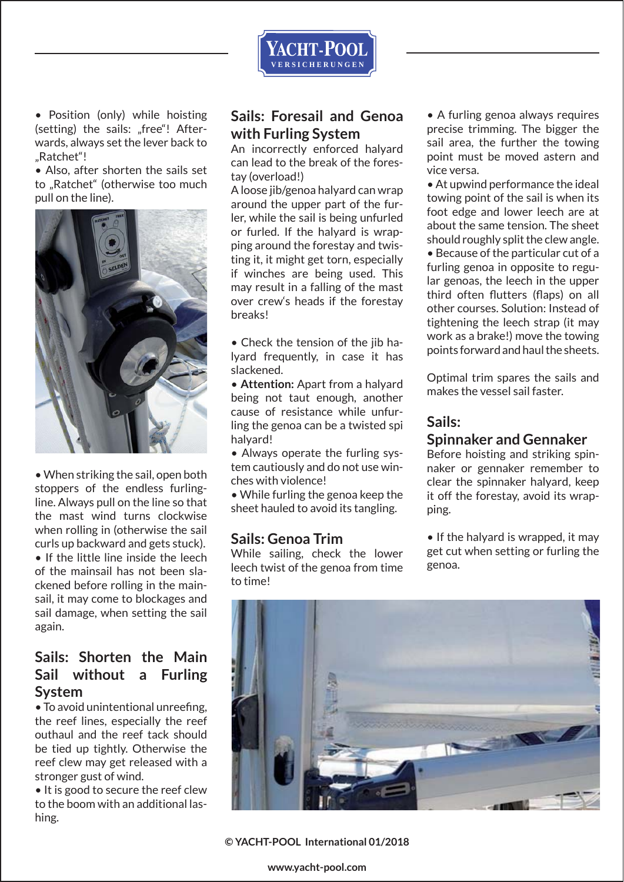

• Position (only) while hoisting (setting) the sails: "free"! Afterwards, always set the lever back to "Ratchet"!

• Also, after shorten the sails set to "Ratchet" (otherwise too much pull on the line).



• When striking the sail, open both stoppers of the endless furlingline. Always pull on the line so that the mast wind turns clockwise when rolling in (otherwise the sail curls up backward and gets stuck). • If the little line inside the leech of the mainsail has not been slackened before rolling in the mainsail, it may come to blockages and sail damage, when setting the sail again.

# **Sails: Shorten the Main Sail without a Furling System**

• To avoid unintentional unreefing, the reef lines, especially the reef outhaul and the reef tack should be tied up tightly. Otherwise the reef clew may get released with a stronger gust of wind.

• It is good to secure the reef clew to the boom with an additional lashing.

# **Sails: Foresail and Genoa with Furling System**

An incorrectly enforced halyard can lead to the break of the forestay (overload!)

A loose jib/genoa halyard can wrap around the upper part of the furler, while the sail is being unfurled or furled. If the halyard is wrapping around the forestay and twisting it, it might get torn, especially if winches are being used. This may result in a falling of the mast over crew's heads if the forestay breaks!

• Check the tension of the jib halyard frequently, in case it has slackened.

• **Attention:** Apart from a halyard being not taut enough, another cause of resistance while unfurling the genoa can be a twisted spi halyard!

• Always operate the furling system cautiously and do not use winches with violence!

• While furling the genoa keep the sheet hauled to avoid its tangling.

# **Sails: Genoa Trim**

While sailing, check the lower leech twist of the genoa from time to time!

• A furling genoa always requires precise trimming. The bigger the sail area, the further the towing point must be moved astern and vice versa.

• At upwind performance the ideal towing point of the sail is when its foot edge and lower leech are at about the same tension. The sheet should roughly split the clew angle. • Because of the particular cut of a furling genoa in opposite to regular genoas, the leech in the upper third often flutters (flaps) on all other courses. Solution: Instead of

tightening the leech strap (it may work as a brake!) move the towing points forward and haul the sheets.

Optimal trim spares the sails and makes the vessel sail faster.

# **Sails:**

### **Spinnaker and Gennaker**

Before hoisting and striking spinnaker or gennaker remember to clear the spinnaker halyard, keep it off the forestay, avoid its wrapping.

• If the halyard is wrapped, it may get cut when setting or furling the genoa.



**© YACHT-POOL International 01/2018** 

**www.yacht-pool.com**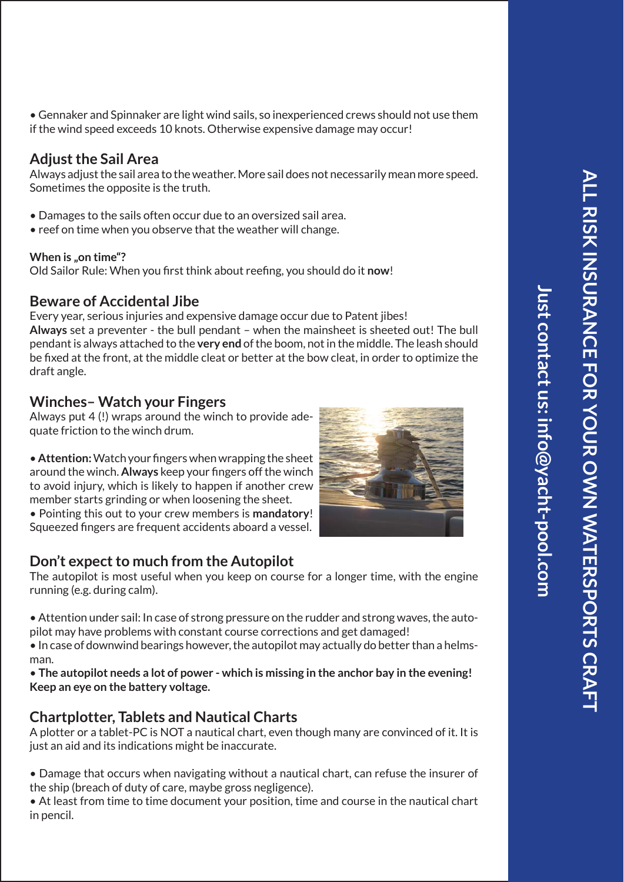**Just contact us: info@yacht-pool.com**

lust contact us: info@yacht-pool.com

• Gennaker and Spinnaker are light wind sails, so inexperienced crews should not use them if the wind speed exceeds 10 knots. Otherwise expensive damage may occur!

# **Adjust the Sail Area**

Always adjust the sail area to the weather. More sail does not necessarily mean more speed. Sometimes the opposite is the truth.

- Damages to the sails often occur due to an oversized sail area.
- reef on time when you observe that the weather will change.

#### **When is "on time"?**

Old Sailor Rule: When you first think about reefing, you should do it now!

# **Beware of Accidental Jibe**

Every year, serious injuries and expensive damage occur due to Patent jibes! **Always** set a preventer - the bull pendant – when the mainsheet is sheeted out! The bull pendant is always attached to the **very end** of the boom, not in the middle. The leash should be fixed at the front, at the middle cleat or better at the bow cleat, in order to optimize the draft angle.

# **Winches– Watch your Fingers**

Always put 4 (!) wraps around the winch to provide adequate friction to the winch drum.

• **Attention:** Watch your fingers when wrapping the sheet around the winch. Always keep your fingers off the winch to avoid injury, which is likely to happen if another crew member starts grinding or when loosening the sheet. • Pointing this out to your crew members is **mandatory**! Squeezed fingers are frequent accidents aboard a vessel.

# **Don't expect to much from the Autopilot**

The autopilot is most useful when you keep on course for a longer time, with the engine running (e.g. during calm).

• Attention under sail: In case of strong pressure on the rudder and strong waves, the autopilot may have problems with constant course corrections and get damaged!

• In case of downwind bearings however, the autopilot may actually do better than a helmsman.

• **The autopilot needs a lot of power - which is missing in the anchor bay in the evening! Keep an eye on the battery voltage.**

# **Chartplotter, Tablets and Nautical Charts**

A plotter or a tablet-PC is NOT a nautical chart, even though many are convinced of it. It is just an aid and its indications might be inaccurate.

• Damage that occurs when navigating without a nautical chart, can refuse the insurer of the ship (breach of duty of care, maybe gross negligence).

• At least from time to time document your position, time and course in the nautical chart in pencil.

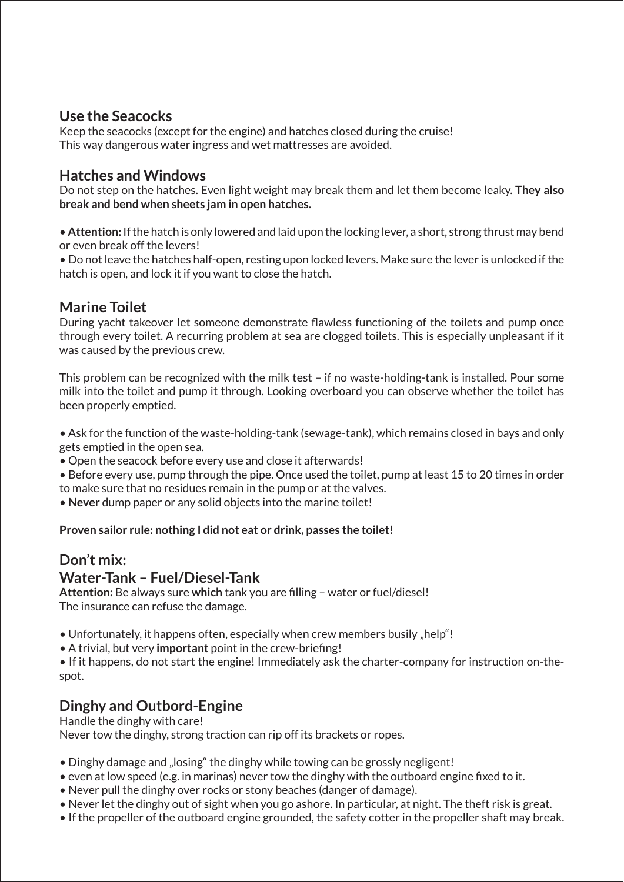# **Use the Seacocks**

Keep the seacocks (except for the engine) and hatches closed during the cruise! This way dangerous water ingress and wet mattresses are avoided.

# **Hatches and Windows**

Do not step on the hatches. Even light weight may break them and let them become leaky. **They also break and bend when sheets jam in open hatches.**

• **Attention:** If the hatch is only lowered and laid upon the locking lever, a short, strong thrust may bend or even break off the levers!

• Do not leave the hatches half-open, resting upon locked levers. Make sure the lever is unlocked if the hatch is open, and lock it if you want to close the hatch.

# **Marine Toilet**

During yacht takeover let someone demonstrate flawless functioning of the toilets and pump once through every toilet. A recurring problem at sea are clogged toilets. This is especially unpleasant if it was caused by the previous crew.

This problem can be recognized with the milk test – if no waste-holding-tank is installed. Pour some milk into the toilet and pump it through. Looking overboard you can observe whether the toilet has been properly emptied.

• Ask for the function of the waste-holding-tank (sewage-tank), which remains closed in bays and only gets emptied in the open sea.

• Open the seacock before every use and close it afterwards!

• Before every use, pump through the pipe. Once used the toilet, pump at least 15 to 20 times in order to make sure that no residues remain in the pump or at the valves.

• **Never** dump paper or any solid objects into the marine toilet!

**Proven sailor rule: nothing I did not eat or drink, passes the toilet!**

# **Don't mix:**

# **Water-Tank – Fuel/Diesel-Tank**

**Attention:** Be always sure which tank you are filling – water or fuel/diesel! The insurance can refuse the damage.

- Unfortunately, it happens often, especially when crew members busily "help"!
- A trivial, but very **important** point in the crew-briefing!

• If it happens, do not start the engine! Immediately ask the charter-company for instruction on-thespot.

# **Dinghy and Outbord-Engine**

Handle the dinghy with care!

Never tow the dinghy, strong traction can rip off its brackets or ropes.

- Dinghy damage and "losing" the dinghy while towing can be grossly negligent!
- $\bullet$  even at low speed (e.g. in marinas) never tow the dinghy with the outboard engine fixed to it.
- Never pull the dinghy over rocks or stony beaches (danger of damage).
- Never let the dinghy out of sight when you go ashore. In particular, at night. The theft risk is great.
- If the propeller of the outboard engine grounded, the safety cotter in the propeller shaft may break.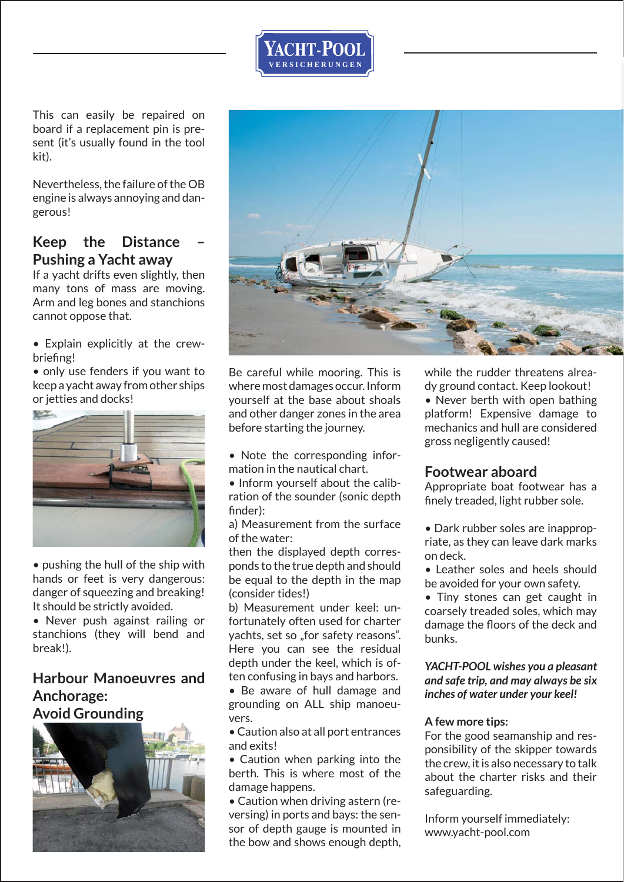This can easily be repaired on board if a replacement pin is present (it's usually found in the tool kit).

Nevertheless, the failure of the OB engine is always annoying and dangerous!

# **Keep the Distance Pushing a Yacht away**

If a yacht drifts even slightly, then many tons of mass are moving. Arm and leg bones and stanchions cannot oppose that.

• Explain explicitly at the crewbriefing!

• only use fenders if you want to keep a yacht away from other ships or jetties and docks!



• pushing the hull of the ship with hands or feet is very dangerous: danger of squeezing and breaking! It should be strictly avoided.

• Never push against railing or stanchions (they will bend and break!).

### **Harbour Manoeuvres and Anchorage: Avoid Grounding**





Be careful while mooring. This is where most damages occur. Inform yourself at the base about shoals and other danger zones in the area before starting the journey.

YACHT**. P**OOL  **V E R S I C H E R U N G E N**

- Note the corresponding information in the nautical chart.
- Inform yourself about the calibration of the sounder (sonic depth finder):

a) Measurement from the surface of the water:

then the displayed depth corresponds to the true depth and should be equal to the depth in the map (consider tides!)

b) Measurement under keel: unfortunately often used for charter yachts, set so "for safety reasons". Here you can see the residual depth under the keel, which is often confusing in bays and harbors.

• Be aware of hull damage and grounding on ALL ship manoeuvers.

• Caution also at all port entrances and exits!

• Caution when parking into the berth. This is where most of the damage happens.

• Caution when driving astern (reversing) in ports and bays: the sensor of depth gauge is mounted in the bow and shows enough depth, while the rudder threatens already ground contact. Keep lookout! • Never berth with open bathing platform! Expensive damage to mechanics and hull are considered gross negligently caused!

# **Footwear aboard**

Appropriate boat footwear has a finely treaded, light rubber sole.

- Dark rubber soles are inappropriate, as they can leave dark marks on deck.
- Leather soles and heels should be avoided for your own safety.

• Tiny stones can get caught in coarsely treaded soles, which may damage the floors of the deck and bunks.

#### *YACHT-POOL wishes you a pleasant and safe trip, and may always be six inches of water under your keel!*

#### **A few more tips:**

For the good seamanship and responsibility of the skipper towards the crew, it is also necessary to talk about the charter risks and their safeguarding.

Inform yourself immediately: www.yacht-pool.com